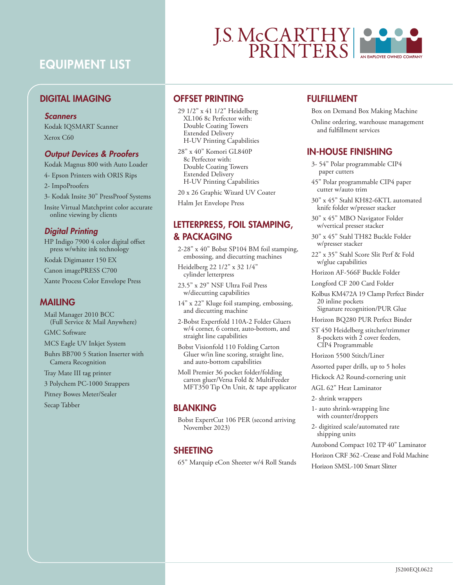## EQUIPMENT LIST

## DIGITAL IMAGING

#### *Scanners*

Kodak IQSMART Scanner Xerox C60

#### *Output Devices & Proofers*

Kodak Magnus 800 with Auto Loader

4- Epson Printers with ORIS Rips

2- ImpoProofers

3- Kodak Insite 30" PressProof Systems

Insite Virtual Matchprint color accurate online viewing by clients

#### *Digital Printing*

HP Indigo 7900 4 color digital offset press w/white ink technology

Kodak Digimaster 150 EX

Canon imagePRESS C700

Xante Process Color Envelope Press

## MAILING

Mail Manager 2010 BCC (Full Service & Mail Anywhere)

GMC Software

MCS Eagle UV Inkjet System

Buhrs BB700 5 Station Inserter with Camera Recognition

Tray Mate III tag printer

3 Polychem PC-1000 Strappers

Pitney Bowes Meter/Sealer

Secap Tabber

# **J.S. McCARTHY**

## OFFSET PRINTING

29 1/2" x 41 1/2" Heidelberg XL106 8c Perfector with: Double Coating Towers Extended Delivery H-UV Printing Capabilities

28" x 40" Komori GL840P 8c Perfector with: Double Coating Towers Extended Delivery H-UV Printing Capabilities

20 x 26 Graphic Wizard UV Coater

Halm Jet Envelope Press

## LETTERPRESS, FOIL STAMPING, & PACKAGING

2-28" x 40" Bobst SP104 BM foil stamping, embossing, and diecutting machines

Heidelberg 22 1/2" x 32 1/4" cylinder letterpress

23.5" x 29" NSF Ultra Foil Press w/diecutting capabilities

14" x 22" Kluge foil stamping, embossing, and diecutting machine

2-Bobst Expertfold 110A-2 Folder Gluers w/4 corner, 6 corner, auto-bottom, and straight line capabilities

Bobst Visionfold 110 Folding Carton Gluer w/in line scoring, straight line, and auto-bottom capabilities

Moll Premier 36 pocket folder/folding carton gluer/Versa Fold & MultiFeeder MFT350 Tip On Unit, & tape applicator

### **BLANKING**

Bobst ExpertCut 106 PER (second arriving November 2023)

## SHEETING

65" Marquip eCon Sheeter w/4 Roll Stands

## FULFILLMENT

Box on Demand Box Making Machine

Online ordering, warehouse management and fulfillment services

## IN-HOUSE FINISHING

- 3- 54" Polar programmable CIP4 paper cutters
- 45" Polar programmable CIP4 paper cutter w/auto trim
- 30" x 45" Stahl KH82-6KTL automated knife folder w/presser stacker

30" x 45" MBO Navigator Folder w/vertical presser stacker

30" x 45" Stahl TH82 Buckle Folder w/presser stacker

22" x 35" Stahl Score Slit Perf & Fold w/glue capabilities

Horizon AF-566F Buckle Folder

Longford CF 200 Card Folder

Kolbus KM472A 19 Clamp Perfect Binder 20 inline pockets Signature recognition/PUR Glue

- Horizon BQ280 PUR Perfect Binder
- ST 450 Heidelberg stitcher/trimmer 8-pockets with 2 cover feeders, CIP4 Programmable

Horizon 5500 Stitch/Liner

Assorted paper drills, up to 5 holes

Hickock A2 Round-cornering unit

AGL 62" Heat Laminator

2- shrink wrappers

- 1- auto shrink-wrapping line with counter/droppers
- 2- digitized scale/automated rate shipping units
- Autobond Compact 102 TP 40" Laminator
- Horizon CRF 362 Crease and Fold Machine

Horizon SMSL-100 Smart Slitter